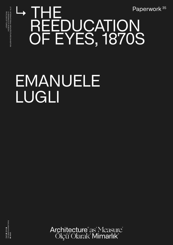## ↳ THE REEDUCATION<br>OF EYES, 1870S Paperwork<sup>35</sup>

## EMANUELE LUGLI

Architecture<sup>"</sup>as<sup>\*</sup>Measure<sup>"</sup><br>Ölçü<sup>\*</sup>Olarak<sup>\*</sup>Mimarlık\*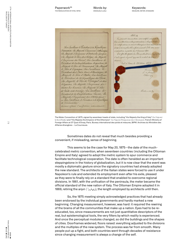Words by: EMANUELE LUGLI

 $(1/1.1)$ La présente convention sera ratifiée suivant les Lois constitutionnelles particulières à chaque Etal; les ratifications en seront ichangées à Paris dans le délai Son Excellence le Président de la République de six mois ou plus tot, si faire se peut. Elle sera mise Française, Sa Majesté l'Impereur d'allemagne a execution à partir du 1er Janvier 1876. Sa Majeste Vennereur d'Autriche Gengrie En foi de guoi, les Plémpotentiaires respectifs Sa Majeste le Roi des Belges, Sa Majeste l'ont signée ety ont apposé le cachet de leure l'Empereur du Brésil Son Excellence le armin Président de la Consédération Argentine Sa Tait à Paris, le 20 Mai 1875. Majesté le Roi de Danemark, Sa Majeste le Roi d'Espagne, Son Excellence le therare Président des états Unis d'Amérique, Sa C. de Maas Majesté le Koi d'Italie, Son Excellence le Président de la République du Pirou Sa Majesté le Roi de Portugal et des algarres, Sa Májesté l'Impereur de toutes les Russies, Sa Majesté le Roi de Suède et de Norvége, Son Excellence les Ushentok Président de la Confédération Suisse, Sa Majesté l'Empereur des Ottomanie es Son Excellence le Président de la République de Vénéruéla desirant assurer l'unification internationale

The Meter Convention of 1875, signed by seventeen heads of state, including "His Majesty the King of Italy" (Sa Majesté le Roi d'Italie) and "His Majesty the Emperor of the Ottomans" (Sa Majesté l'Empereur des Ottomans). French Ministry of Foreign Affairs at 37 Quai d'Orsay, Paris. Bureau international des poids et mesures, BIPM. Archives du Ministère des Affaires étrangères – La Courneuve.

Sometimes dates do not reveal that much besides providing a convenient, if misleading, sense of beginning.

This seems to be the case for May 20, 1875—the date of the muchcelebrated metric convention, when seventeen countries (including the Ottoman Empire and Italy) agreed to adopt the metric system to spur commerce and facilitate technological cooperation. The date is often heralded as an important steppingstone in the history of globalization, but it is now clear that the event was mostly a diplomatic gesture since the signatory countries had already adopted the new standard. The architects of the Italian states were forced to use it under Napoleon's rule and extended its employment even after his exile, pleased as they were to finally rely on a standard that enabled to overcome regional divisions. In 1861, with the unification of the peninsula, the meter became the official standard of the new nation of Italy. The Ottoman Empire adopted it in 1869, retiring the arşın ((نيشرآ), the length employed by architects until then.

So, the 1875 meeting simply acknowledged practices that had already been endorsed by the individual governments and hardly marked a new beginning. Changing measurement, however, was hard: it required the rewiring of the brains of all the communities that make up a nation. Eyes had to be reeducated, too, since measurements are not just quantitative descriptors of the real, but epistemological tools, the very filters by which reality is experienced. And once the perceptual modules changed, so did the buildings and the shapes of cities. Doorframes widened, floors raised: everything adjusted to the divisions and the multiples of the new system. The process was far from smooth. Many people put up a fight, and both countries went through decades of resistance since changing measurement is always a change of the self.